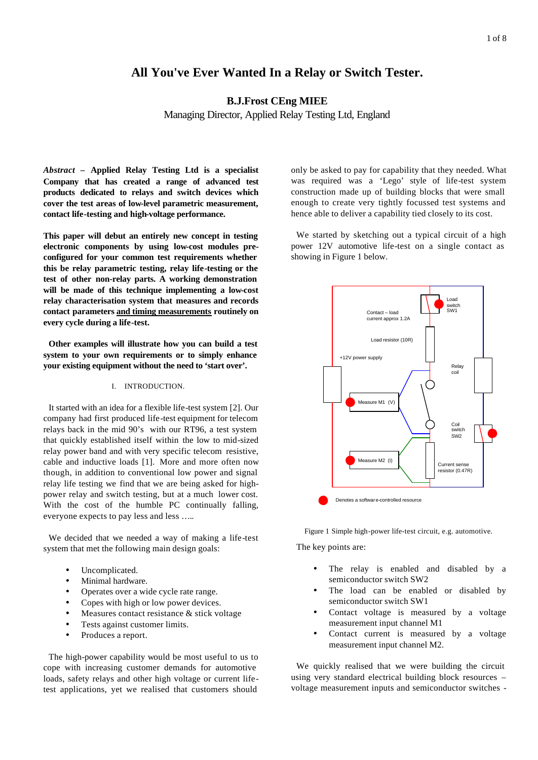# **All You've Ever Wanted In a Relay or Switch Tester.**

**B.J.Frost CEng MIEE**

Managing Director, Applied Relay Testing Ltd, England

*Abstract* **– Applied Relay Testing Ltd is a specialist Company that has created a range of advanced test products dedicated to relays and switch devices which cover the test areas of low-level parametric measurement, contact life-testing and high-voltage performance.** 

**This paper will debut an entirely new concept in testing electronic components by using low-cost modules preconfigured for your common test requirements whether this be relay parametric testing, relay life-testing or the test of other non-relay parts. A working demonstration will be made of this technique implementing a low-cost relay characterisation system that measures and records contact parameters and timing measurements routinely on every cycle during a life-test.**

**Other examples will illustrate how you can build a test system to your own requirements or to simply enhance your existing equipment without the need to 'start over'.**

#### I. INTRODUCTION.

It started with an idea for a flexible life-test system [2]. Our company had first produced life-test equipment for telecom relays back in the mid 90's with our RT96, a test system that quickly established itself within the low to mid-sized relay power band and with very specific telecom resistive, cable and inductive loads [1]. More and more often now though, in addition to conventional low power and signal relay life testing we find that we are being asked for highpower relay and switch testing, but at a much lower cost. With the cost of the humble PC continually falling, everyone expects to pay less and less …..

We decided that we needed a way of making a life-test system that met the following main design goals:

- Uncomplicated.
- Minimal hardware.
- Operates over a wide cycle rate range.
- Copes with high or low power devices.
- Measures contact resistance & stick voltage
- Tests against customer limits.
- Produces a report.

The high-power capability would be most useful to us to cope with increasing customer demands for automotive loads, safety relays and other high voltage or current lifetest applications, yet we realised that customers should only be asked to pay for capability that they needed. What was required was a 'Lego' style of life-test system construction made up of building blocks that were small enough to create very tightly focussed test systems and hence able to deliver a capability tied closely to its cost.

We started by sketching out a typical circuit of a high power 12V automotive life-test on a single contact as showing in Figure 1 below.



Figure 1 Simple high-power life-test circuit, e.g. automotive.

The key points are:

- The relay is enabled and disabled by a semiconductor switch SW2
- The load can be enabled or disabled by semiconductor switch SW1
- Contact voltage is measured by a voltage measurement input channel M1
- Contact current is measured by a voltage measurement input channel M2.

We quickly realised that we were building the circuit using very standard electrical building block resources – voltage measurement inputs and semiconductor switches -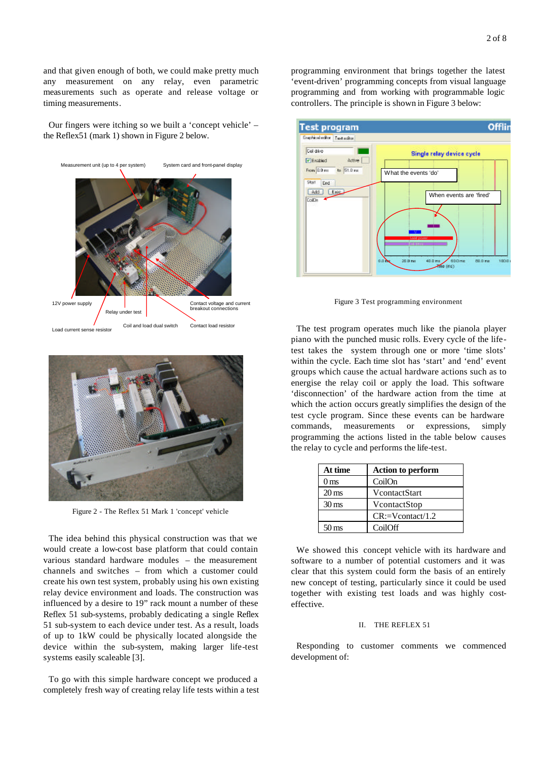and that given enough of both, we could make pretty much any measurement on any relay, even parametric measurements such as operate and release voltage or timing measurements.

Our fingers were itching so we built a 'concept vehicle' – the Reflex51 (mark 1) shown in Figure 2 below.





Figure 2 - The Reflex 51 Mark 1 'concept' vehicle

The idea behind this physical construction was that we would create a low-cost base platform that could contain various standard hardware modules – the measurement channels and switches – from which a customer could create his own test system, probably using his own existing relay device environment and loads. The construction was influenced by a desire to 19" rack mount a number of these Reflex 51 sub-systems, probably dedicating a single Reflex 51 sub-system to each device under test. As a result, loads of up to 1kW could be physically located alongside the device within the sub-system, making larger life-test systems easily scaleable [3].

To go with this simple hardware concept we produced a completely fresh way of creating relay life tests within a test programming environment that brings together the latest 'event-driven' programming concepts from visual language programming and from working with programmable logic controllers. The principle is shown in Figure 3 below:



Figure 3 Test programming environment

The test program operates much like the pianola player piano with the punched music rolls. Every cycle of the lifetest takes the system through one or more 'time slots' within the cycle. Each time slot has 'start' and 'end' event groups which cause the actual hardware actions such as to energise the relay coil or apply the load. This software 'disconnection' of the hardware action from the time at which the action occurs greatly simplifies the design of the test cycle program. Since these events can be hardware commands, measurements or expressions, simply programming the actions listed in the table below causes the relay to cycle and performs the life-test.

| At time            | <b>Action to perform</b>  |  |
|--------------------|---------------------------|--|
| 0 <sub>ms</sub>    | CoilOn                    |  |
| $20 \,\mathrm{ms}$ | VcontactStart             |  |
| $30 \,\mathrm{ms}$ | VcontactStop              |  |
|                    | $CR:=V\text{contact}/1.2$ |  |
| 50 ms              | CoilOff                   |  |

We showed this concept vehicle with its hardware and software to a number of potential customers and it was clear that this system could form the basis of an entirely new concept of testing, particularly since it could be used together with existing test loads and was highly costeffective.

#### II. THE REFLEX 51

Responding to customer comments we commenced development of: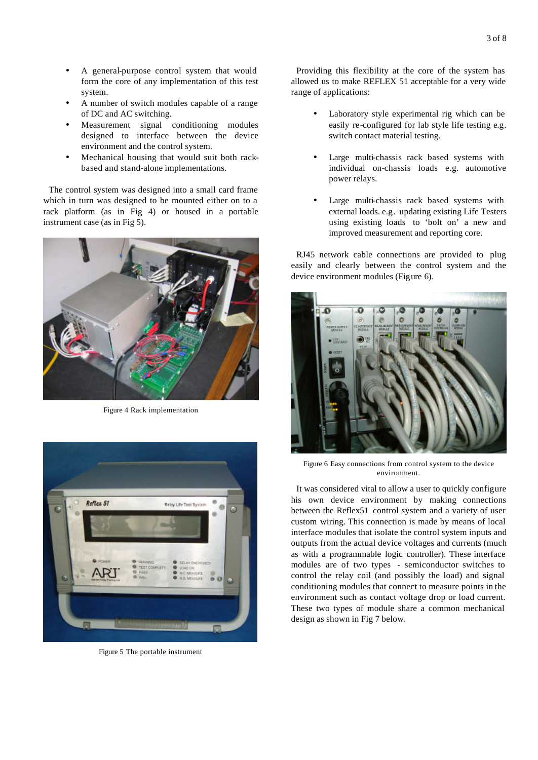- A general-purpose control system that would form the core of any implementation of this test system.
- A number of switch modules capable of a range of DC and AC switching.
- Measurement signal conditioning modules designed to interface between the device environment and the control system.
- Mechanical housing that would suit both rackbased and stand-alone implementations.

The control system was designed into a small card frame which in turn was designed to be mounted either on to a rack platform (as in Fig 4) or housed in a portable instrument case (as in Fig 5).



Figure 4 Rack implementation



Figure 5 The portable instrument

Providing this flexibility at the core of the system has allowed us to make REFLEX 51 acceptable for a very wide range of applications:

- Laboratory style experimental rig which can be easily re-configured for lab style life testing e.g. switch contact material testing.
- Large multi-chassis rack based systems with individual on-chassis loads e.g. automotive power relays.
- Large multi-chassis rack based systems with external loads. e.g. updating existing Life Testers using existing loads to 'bolt on' a new and improved measurement and reporting core.

RJ45 network cable connections are provided to plug easily and clearly between the control system and the device environment modules (Figure 6).



Figure 6 Easy connections from control system to the device environment.

It was considered vital to allow a user to quickly configure his own device environment by making connections between the Reflex51 control system and a variety of user custom wiring. This connection is made by means of local interface modules that isolate the control system inputs and outputs from the actual device voltages and currents (much as with a programmable logic controller). These interface modules are of two types - semiconductor switches to control the relay coil (and possibly the load) and signal conditioning modules that connect to measure points in the environment such as contact voltage drop or load current. These two types of module share a common mechanical design as shown in Fig 7 below.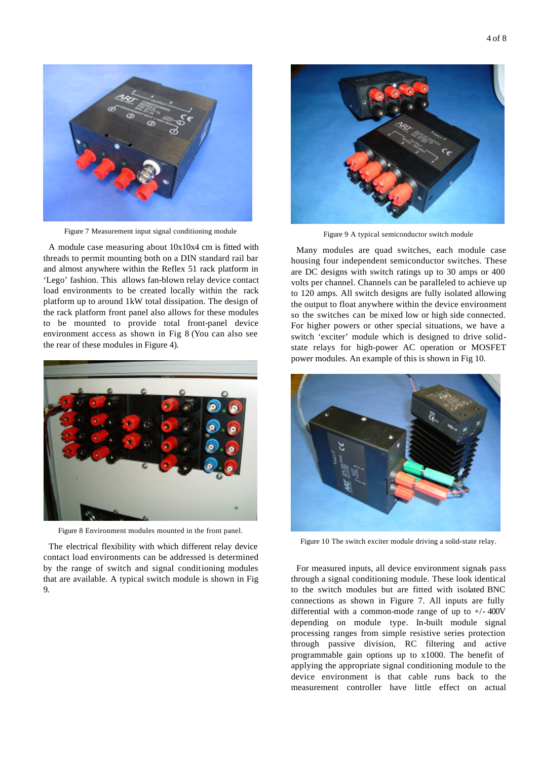

Figure 7 Measurement input signal conditioning module

A module case measuring about 10x10x4 cm is fitted with threads to permit mounting both on a DIN standard rail bar and almost anywhere within the Reflex 51 rack platform in 'Lego' fashion. This allows fan-blown relay device contact load environments to be created locally within the rack platform up to around 1kW total dissipation. The design of the rack platform front panel also allows for these modules to be mounted to provide total front-panel device environment access as shown in Fig 8 (You can also see the rear of these modules in Figure 4).



Figure 8 Environment modules mounted in the front panel.

The electrical flexibility with which different relay device contact load environments can be addressed is determined by the range of switch and signal conditioning modules that are available. A typical switch module is shown in Fig 9.



Figure 9 A typical semiconductor switch module

Many modules are quad switches, each module case housing four independent semiconductor switches. These are DC designs with switch ratings up to 30 amps or 400 volts per channel. Channels can be paralleled to achieve up to 120 amps. All switch designs are fully isolated allowing the output to float anywhere within the device environment so the switches can be mixed low or high side connected. For higher powers or other special situations, we have a switch 'exciter' module which is designed to drive solidstate relays for high-power AC operation or MOSFET power modules. An example of this is shown in Fig 10.



Figure 10 The switch exciter module driving a solid-state relay.

For measured inputs, all device environment signals pass through a signal conditioning module. These look identical to the switch modules but are fitted with isolated BNC connections as shown in Figure 7. All inputs are fully differential with a common-mode range of up to  $+/- 400V$ depending on module type. In-built module signal processing ranges from simple resistive series protection through passive division, RC filtering and active programmable gain options up to x1000. The benefit of applying the appropriate signal conditioning module to the device environment is that cable runs back to the measurement controller have little effect on actual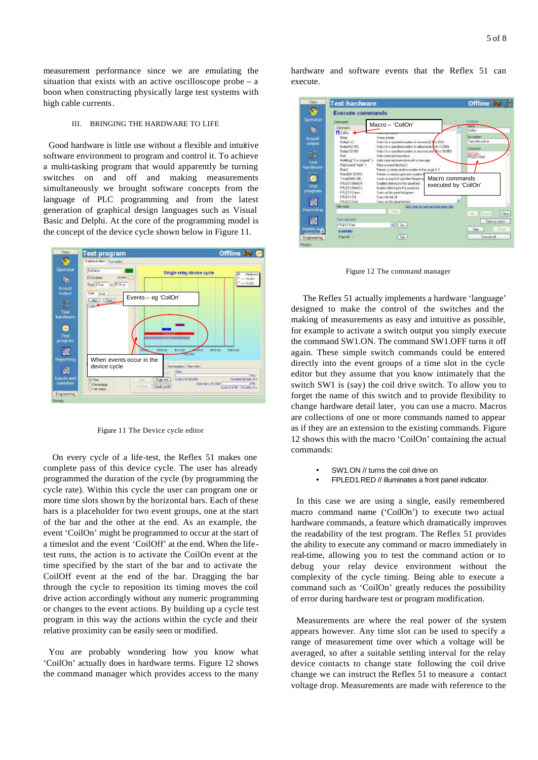measurement performance since we are emulating the situation that exists with an active oscilloscope probe – a boon when constructing physically large test systems with high cable currents.

#### III. BRINGING THE HARDWARE TO LIFE

Good hardware is little use without a flexible and intuitive software environment to program and control it. To achieve a multi-tasking program that would apparently be turning switches on and off and making measurements simultaneously we brought software concepts from the language of PLC programming and from the latest generation of graphical design languages such as Visual Basic and Delphi. At the core of the programming model is the concept of the device cycle shown below in Figure 11.



Figure 11 The Device cycle editor

 On every cycle of a life-test, the Reflex 51 makes one complete pass of this device cycle. The user has already programmed the duration of the cycle (by programming the cycle rate). Within this cycle the user can program one or more time slots shown by the horizontal bars. Each of these bars is a placeholder for two event groups, one at the start of the bar and the other at the end. As an example, the event 'CoilOn' might be programmed to occur at the start of a timeslot and the event 'CoilOff' at the end. When the lifetest runs, the action is to activate the CoilOn event at the time specified by the start of the bar and to activate the CoilOff event at the end of the bar. Dragging the bar through the cycle to reposition its timing moves the coil drive action accordingly without any numeric programming or changes to the event actions. By building up a cycle test program in this way the actions within the cycle and their relative proximity can be easily seen or modified.

You are probably wondering how you know what 'CoilOn' actually does in hardware terms. Figure 12 shows the command manager which provides access to the many

hardware and software events that the Reflex 51 can execute.

| Viow                                 | <b>Test hardware</b><br><b>Execute commands</b>                                |                                                                                                                                                                                               | Offline N                              |                                                          |
|--------------------------------------|--------------------------------------------------------------------------------|-----------------------------------------------------------------------------------------------------------------------------------------------------------------------------------------------|----------------------------------------|----------------------------------------------------------|
| Operator<br>W.                       | <b>Company's</b><br>Carmelo<br>Mostin                                          | Macro - 'CoilOn'                                                                                                                                                                              |                                        | <b><i><u>blokpad</u></i></b><br><b>Users</b><br>Daillin, |
| Result<br><b>CURRENT</b>             | <b>Noon</b><br>$D = \text{high}(1, 2)$<br>Data M ST00                          | trust a base.<br>Waits for a specified modern of concernic (CDMs 2010).<br>Kiliki Para specified europes of telluscends (2 to TO 800)                                                         |                                        | Descriptions<br>Turns the points.<br><b>Convention</b>   |
| 詒                                    | Delail ST 83<br>Hall                                                           | white fit is goodled runder of alcocatorich V to 18,080.<br># allo command assession                                                                                                          |                                        | <b>ENTIRE</b>                                            |
| Text<br>hardware                     | Habitagi "Tve usqued" 1<br>PlasSound "tada"  <br>Rand                          | A allo constrated esecution with a message.<br>Reys a sound tilt the (1)<br>Fatures a single tandors runder in the nerge O.T.                                                                 |                                        |                                                          |
| Text<br>program                      | Residipt 10 http<br>Tone1808.13E)<br>FR.ED19MON<br>FR.ED1/Beldy<br>FR.ED10 inm | If there a special galleries runder in<br>beans a council of specified bequeres<br>Einstites Melting for this panel led-<br>Insider Meking for this panel led<br>Luxe on the pavel led green. | Macro commands<br>executed by 'CoilOn' |                                                          |
|                                      | <b>EREMON</b><br><b>EREDIRES</b>                                               | Forest this indiction<br>Tures on this payal led ted                                                                                                                                          | W.                                     |                                                          |
| Reporting                            | <b>Filter supply</b>                                                           | <b>Club</b>                                                                                                                                                                                   | Didi: here he cannood subsequently     | Clear<br>i Gu<br>Times.                                  |
| ÑB.                                  | Text commend<br><b>FR.ED1Rad</b>                                               | file.                                                                                                                                                                                         |                                        | <sup>P</sup> ARE AT RACIO                                |
| <b>Incells</b> and<br><b>LWRCheC</b> | 8,00000<br>Elegand -                                                           | Se.                                                                                                                                                                                           |                                        | Step<br><b>ISSNA</b><br>Escouta di                       |

Figure 12 The command manager

 The Reflex 51 actually implements a hardware 'language' designed to make the control of the switches and the making of measurements as easy and intuitive as possible, for example to activate a switch output you simply execute the command SW1.ON. The command SW1.OFF turns it off again. These simple switch commands could be entered directly into the event groups of a time slot in the cycle editor but they assume that you know intimately that the switch SW1 is (say) the coil drive switch. To allow you to forget the name of this switch and to provide flexibility to change hardware detail later, you can use a macro. Macros are collections of one or more commands named to appear as if they are an extension to the existing commands. Figure 12 shows this with the macro 'CoilOn' containing the actual commands:

- SW1.ON // turns the coil drive on
- FPLED1.RED // illuminates a front panel indicator.

In this case we are using a single, easily remembered macro command name ('CoilOn') to execute two actual hardware commands, a feature which dramatically improves the readability of the test program. The Reflex 51 provides the ability to execute any command or macro immediately in real-time, allowing you to test the command action or to debug your relay device environment without the complexity of the cycle timing. Being able to execute a command such as 'CoilOn' greatly reduces the possibility of error during hardware test or program modification.

Measurements are where the real power of the system appears however. Any time slot can be used to specify a range of measurement time over which a voltage will be averaged, so after a suitable settling interval for the relay device contacts to change state following the coil drive change we can instruct the Reflex 51 to measure a contact voltage drop. Measurements are made with reference to the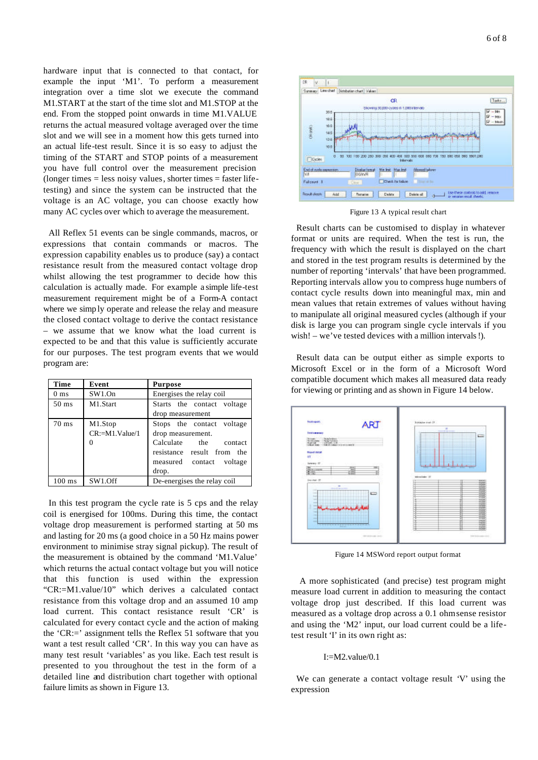hardware input that is connected to that contact, for example the input 'M1'. To perform a measurement integration over a time slot we execute the command M1.START at the start of the time slot and M1.STOP at the end. From the stopped point onwards in time M1.VALUE returns the actual measured voltage averaged over the time slot and we will see in a moment how this gets turned into an actual life-test result. Since it is so easy to adjust the timing of the START and STOP points of a measurement you have full control over the measurement precision  $(longer times = less noisy values, shorter times = faster life$ testing) and since the system can be instructed that the voltage is an AC voltage, you can choose exactly how many AC cycles over which to average the measurement.

All Reflex 51 events can be single commands, macros, or expressions that contain commands or macros. The expression capability enables us to produce (say) a contact resistance result from the measured contact voltage drop whilst allowing the test programmer to decide how this calculation is actually made. For example a simple life-test measurement requirement might be of a Form-A contact where we simp ly operate and release the relay and measure the closed contact voltage to derive the contact resistance – we assume that we know what the load current is expected to be and that this value is sufficiently accurate for our purposes. The test program events that we would program are:

| Time             | Event                                 | <b>Purpose</b>                                                                                                                             |
|------------------|---------------------------------------|--------------------------------------------------------------------------------------------------------------------------------------------|
| 0 <sub>ms</sub>  | SW1.On                                | Energises the relay coil                                                                                                                   |
| $50 \text{ ms}$  | M1.Start                              | Starts the contact voltage<br>drop measurement                                                                                             |
| $70 \text{ ms}$  | M1.Stop<br>CR:=M1.Value/1<br>$\Omega$ | Stops the contact voltage<br>drop measurement.<br>Calculate the contact<br>resistance result from the<br>measured contact voltage<br>drop. |
| $100 \text{ ms}$ | SW1.Off                               | De-energises the relay coil                                                                                                                |

In this test program the cycle rate is 5 cps and the relay coil is energised for 100ms. During this time, the contact voltage drop measurement is performed starting at 50 ms and lasting for 20 ms (a good choice in a 50 Hz mains power environment to minimise stray signal pickup). The result of the measurement is obtained by the command 'M1.Value' which returns the actual contact voltage but you will notice that this function is used within the expression "CR:=M1.value/10" which derives a calculated contact resistance from this voltage drop and an assumed 10 amp load current. This contact resistance result 'CR' is calculated for every contact cycle and the action of making the 'CR:=' assignment tells the Reflex 51 software that you want a test result called 'CR'. In this way you can have as many test result 'variables' as you like. Each test result is presented to you throughout the test in the form of a detailed line and distribution chart together with optional failure limits as shown in Figure 13.



Figure 13 A typical result chart

Result charts can be customised to display in whatever format or units are required. When the test is run, the frequency with which the result is displayed on the chart and stored in the test program results is determined by the number of reporting 'intervals' that have been programmed. Reporting intervals allow you to compress huge numbers of contact cycle results down into meaningful max, min and mean values that retain extremes of values without having to manipulate all original measured cycles (although if your disk is large you can program single cycle intervals if you wish! – we've tested devices with a million intervals!).

Result data can be output either as simple exports to Microsoft Excel or in the form of a Microsoft Word compatible document which makes all measured data ready for viewing or printing and as shown in Figure 14 below.



Figure 14 MSWord report output format

 A more sophisticated (and precise) test program might measure load current in addition to measuring the contact voltage drop just described. If this load current was measured as a voltage drop across a 0.1 ohm sense resistor and using the 'M2' input, our load current could be a lifetest result 'I' in its own right as:

## I:=M2.value/0.1

We can generate a contact voltage result 'V' using the expression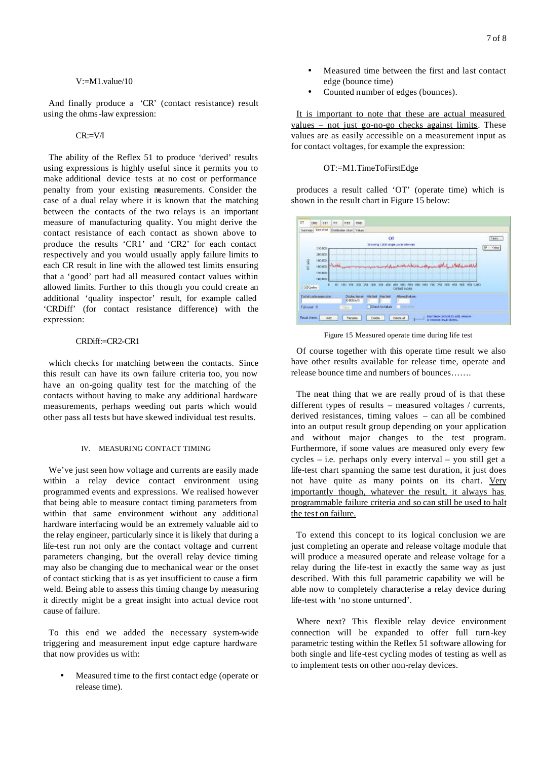V:=M1.value/10

And finally produce a 'CR' (contact resistance) result using the ohms-law expression:

## CR:=V/I

The ability of the Reflex 51 to produce 'derived' results using expressions is highly useful since it permits you to make additional device tests at no cost or performance penalty from your existing measurements. Consider the case of a dual relay where it is known that the matching between the contacts of the two relays is an important measure of manufacturing quality. You might derive the contact resistance of each contact as shown above to produce the results 'CR1' and 'CR2' for each contact respectively and you would usually apply failure limits to each CR result in line with the allowed test limits ensuring that a 'good' part had all measured contact values within allowed limits. Further to this though you could create an additional 'quality inspector' result, for example called 'CRDiff' (for contact resistance difference) with the expression:

## CRDiff:=CR2-CR1

which checks for matching between the contacts. Since this result can have its own failure criteria too, you now have an on-going quality test for the matching of the contacts without having to make any additional hardware measurements, perhaps weeding out parts which would other pass all tests but have skewed individual test results.

### IV. MEASURING CONTACT TIMING

We've just seen how voltage and currents are easily made within a relay device contact environment using programmed events and expressions. We realised however that being able to measure contact timing parameters from within that same environment without any additional hardware interfacing would be an extremely valuable aid to the relay engineer, particularly since it is likely that during a life-test run not only are the contact voltage and current parameters changing, but the overall relay device timing may also be changing due to mechanical wear or the onset of contact sticking that is as yet insufficient to cause a firm weld. Being able to assess this timing change by measuring it directly might be a great insight into actual device root cause of failure.

To this end we added the necessary system-wide triggering and measurement input edge capture hardware that now provides us with:

• Measured time to the first contact edge (operate or release time).

- Measured time between the first and last contact edge (bounce time)
- Counted number of edges (bounces).

It is important to note that these are actual measured values – not just go-no-go checks against limits. These values are as easily accessible on a measurement input as for contact voltages, for example the expression:

#### OT:=M1.TimeToFirstEdge

produces a result called 'OT' (operate time) which is shown in the result chart in Figure 15 below:



Figure 15 Measured operate time during life test

Of course together with this operate time result we also have other results available for release time, operate and release bounce time and numbers of bounces…….

The neat thing that we are really proud of is that these different types of results – measured voltages / currents, derived resistances, timing values – can all be combined into an output result group depending on your application and without major changes to the test program. Furthermore, if some values are measured only every few cycles – i.e. perhaps only every interval – you still get a life-test chart spanning the same test duration, it just does not have quite as many points on its chart. Very importantly though, whatever the result, it always has programmable failure criteria and so can still be used to halt the test on failure.

To extend this concept to its logical conclusion we are just completing an operate and release voltage module that will produce a measured operate and release voltage for a relay during the life-test in exactly the same way as just described. With this full parametric capability we will be able now to completely characterise a relay device during life-test with 'no stone unturned'.

Where next? This flexible relay device environment connection will be expanded to offer full turn-key parametric testing within the Reflex 51 software allowing for both single and life-test cycling modes of testing as well as to implement tests on other non-relay devices.